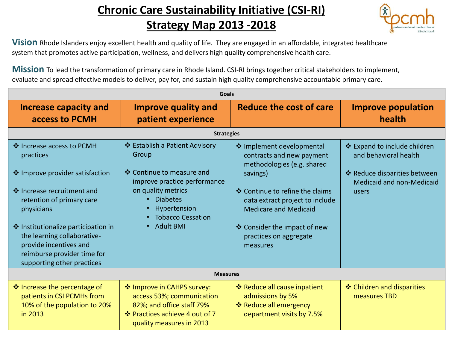## **Chronic Care Sustainability Initiative (CSI-RI) Strategy Map 2013 -2018**



**Vision** Rhode Islanders enjoy excellent health and quality of life. They are engaged in an affordable, integrated healthcare system that promotes active participation, wellness, and delivers high quality comprehensive health care.

**Mission** To lead the transformation of primary care in Rhode Island. CSI-RI brings together critical stakeholders to implement, evaluate and spread effective models to deliver, pay for, and sustain high quality comprehensive accountable primary care.

| <b>Goals</b>                                                                                                                                              |                                                                                                                                                    |                                                                                                         |                                                                                       |
|-----------------------------------------------------------------------------------------------------------------------------------------------------------|----------------------------------------------------------------------------------------------------------------------------------------------------|---------------------------------------------------------------------------------------------------------|---------------------------------------------------------------------------------------|
| <b>Increase capacity and</b><br>access to PCMH                                                                                                            | <b>Improve quality and</b><br>patient experience                                                                                                   | Reduce the cost of care                                                                                 | <b>Improve population</b><br>health                                                   |
| <b>Strategies</b>                                                                                                                                         |                                                                                                                                                    |                                                                                                         |                                                                                       |
| ❖ Increase access to PCMH<br>practices<br>❖ Improve provider satisfaction                                                                                 | ❖ Establish a Patient Advisory<br>Group<br>❖ Continue to measure and<br>improve practice performance                                               | ❖ Implement developmental<br>contracts and new payment<br>methodologies (e.g. shared<br>savings)        | ❖ Expand to include children<br>and behavioral health<br>❖ Reduce disparities between |
| ❖ Increase recruitment and<br>retention of primary care<br>physicians                                                                                     | on quality metrics<br><b>Diabetes</b><br>Hypertension<br><b>Tobacco Cessation</b>                                                                  | ❖ Continue to refine the claims<br>data extract project to include<br><b>Medicare and Medicaid</b>      | <b>Medicaid and non-Medicaid</b><br>users                                             |
| ❖ Institutionalize participation in<br>the learning collaborative-<br>provide incentives and<br>reimburse provider time for<br>supporting other practices | <b>Adult BMI</b>                                                                                                                                   | ❖ Consider the impact of new<br>practices on aggregate<br>measures                                      |                                                                                       |
| <b>Measures</b>                                                                                                                                           |                                                                                                                                                    |                                                                                                         |                                                                                       |
| ❖ Increase the percentage of<br>patients in CSI PCMHs from<br>10% of the population to 20%<br>in 2013                                                     | ❖ Improve in CAHPS survey:<br>access 53%; communication<br>82%; and office staff 79%<br>❖ Practices achieve 4 out of 7<br>quality measures in 2013 | ❖ Reduce all cause inpatient<br>admissions by 5%<br>❖ Reduce all emergency<br>department visits by 7.5% | ❖ Children and disparities<br>measures TBD                                            |